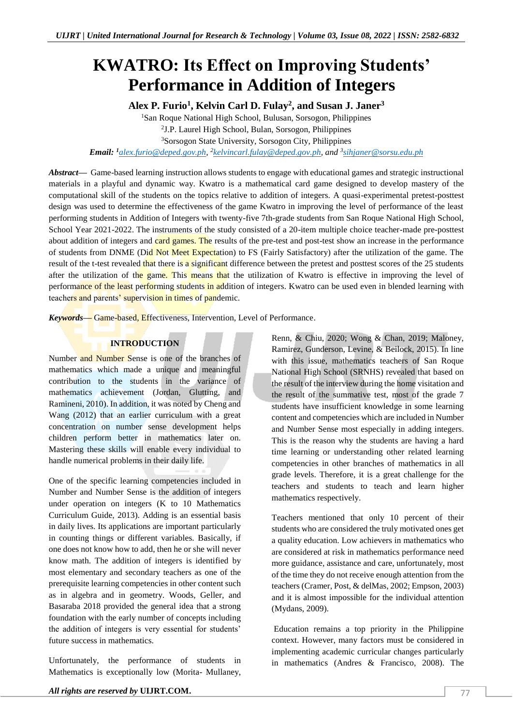# **KWATRO: Its Effect on Improving Students' Performance in Addition of Integers**

**Alex P. Furio<sup>1</sup> , Kelvin Carl D. Fulay<sup>2</sup> , and Susan J. Janer<sup>3</sup>**

<sup>1</sup>San Roque National High School, Bulusan, Sorsogon, Philippines

2 J.P. Laurel High School, Bulan, Sorsogon, Philippines

<sup>3</sup>Sorsogon State University, Sorsogon City, Philippines

*Email: <sup>1</sup>[alex.furio@deped.gov.ph,](mailto:alex.furio@deped.gov.ph) 2 [kelvincarl.fulay@deped.gov.ph,](mailto:kelvincarl.fulay@deped.gov.ph) and <sup>3</sup> [sihjaner@sorsu.edu.ph](mailto:sihjaner@sorsu.edu.ph)*

*Abstract—* Game-based learning instruction allows students to engage with educational games and strategic instructional materials in a playful and dynamic way. Kwatro is a mathematical card game designed to develop mastery of the computational skill of the students on the topics relative to addition of integers. A quasi-experimental pretest-posttest design was used to determine the effectiveness of the game Kwatro in improving the level of performance of the least performing students in Addition of Integers with twenty-five 7th-grade students from San Roque National High School, School Year 2021-2022. The instruments of the study consisted of a 20-item multiple choice teacher-made pre-posttest about addition of integers and card games. The results of the pre-test and post-test show an increase in the performance of students from DNME (Did Not Meet Expectation) to FS (Fairly Satisfactory) after the utilization of the game. The result of the t-test revealed that there is a significant difference between the pretest and posttest scores of the 25 students after the utilization of the game. This means that the utilization of Kwatro is effective in improving the level of performance of the least performing students in addition of integers. Kwatro can be used even in blended learning with teachers and parents' supervision in times of pandemic.

*Keywords—* Game-based, Effectiveness, Intervention, Level of Performance.

# **INTRODUCTION**

Number and Number Sense is one of the branches of mathematics which made a unique and meaningful contribution to the students in the variance of mathematics achievement (Jordan, Glutting, and Ramineni, 2010). In addition, it was noted by Cheng and Wang (2012) that an earlier curriculum with a great concentration on number sense development helps children perform better in mathematics later on. Mastering these skills will enable every individual to handle numerical problems in their daily life.

One of the specific learning competencies included in Number and Number Sense is the addition of integers under operation on integers (K to 10 Mathematics Curriculum Guide, 2013). Adding is an essential basis in daily lives. Its applications are important particularly in counting things or different variables. Basically, if one does not know how to add, then he or she will never know math. The addition of integers is identified by most elementary and secondary teachers as one of the prerequisite learning competencies in other content such as in algebra and in geometry. Woods, Geller, and Basaraba 2018 provided the general idea that a strong foundation with the early number of concepts including the addition of integers is very essential for students' future success in mathematics.

Unfortunately, the performance of students in Mathematics is exceptionally low (Morita- Mullaney, Renn, & Chiu, 2020; Wong & Chan, 2019; Maloney, Ramirez, Gunderson, Levine, & Beilock, 2015). In line with this issue, mathematics teachers of San Roque National High School (SRNHS) revealed that based on the result of the interview during the home visitation and the result of the summative test, most of the grade 7 students have insufficient knowledge in some learning content and competencies which are included in Number and Number Sense most especially in adding integers. This is the reason why the students are having a hard time learning or understanding other related learning competencies in other branches of mathematics in all grade levels. Therefore, it is a great challenge for the teachers and students to teach and learn higher mathematics respectively.

Teachers mentioned that only 10 percent of their students who are considered the truly motivated ones get a quality education. Low achievers in mathematics who are considered at risk in mathematics performance need more guidance, assistance and care, unfortunately, most of the time they do not receive enough attention from the teachers (Cramer, Post, & delMas, 2002; Empson, 2003) and it is almost impossible for the individual attention (Mydans, 2009).

Education remains a top priority in the Philippine context. However, many factors must be considered in implementing academic curricular changes particularly in mathematics (Andres & Francisco, 2008). The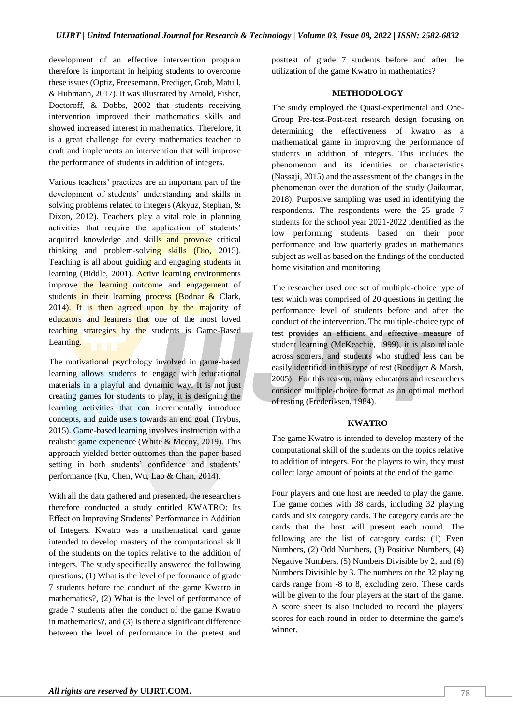development of an effective intervention program therefore is important in helping students to overcome these issues (Optiz, Freesemann, Prediger, Grob, Matull, & Hubmann, 2017). It was illustrated by Arnold, Fisher, Doctoroff, & Dobbs, 2002 that students receiving intervention improved their mathematics skills and showed increased interest in mathematics. Therefore, it is a great challenge for every mathematics teacher to craft and implements an intervention that will improve the performance of students in addition of integers.

Various teachers' practices are an important part of the development of students' understanding and skills in solving problems related to integers (Akyuz, Stephan, & Dixon, 2012). Teachers play a vital role in planning activities that require the application of students' acquired knowledge and skills and provoke critical thinking and problem-solving skills (Dio,  $\sqrt{2015}$ ). Teaching is all about guiding and engaging students in learning (Biddle, 2001). Active learning environments improve the learning outcome and engagement of students in their learning process (Bodnar  $\&$  Clark, 2014). It is then agreed upon by the majority of educators and learners that one of the most loved teaching strategies by the students is Game-Based Learning.

The motivational psychology involved in game-based learning allows students to engage with educational materials in a playful and dynamic way. It is not just creating games for students to play, it is designing the learning activities that can incrementally introduce concepts, and guide users towards an end goal (Trybus, 2015). Game-based learning involves instruction with a realistic game experience (White & Mccoy, 2019). This approach yielded better outcomes than the paper-based setting in both students' confidence and students' performance (Ku, Chen, Wu, Lao & Chan, 2014).

With all the data gathered and presented, the researchers therefore conducted a study entitled KWATRO: Its Effect on Improving Students' Performance in Addition of Integers. Kwatro was a mathematical card game intended to develop mastery of the computational skill of the students on the topics relative to the addition of integers. The study specifically answered the following questions; (1) What is the level of performance of grade 7 students before the conduct of the game Kwatro in mathematics?, (2) What is the level of performance of grade 7 students after the conduct of the game Kwatro in mathematics?, and (3) Is there a significant difference between the level of performance in the pretest and

posttest of grade 7 students before and after the utilization of the game Kwatro in mathematics?

#### **METHODOLOGY**

The study employed the Quasi-experimental and One-Group Pre-test-Post-test research design focusing on determining the effectiveness of kwatro as a mathematical game in improving the performance of students in addition of integers. This includes the phenomenon and its identities or characteristics (Nassaji, 2015) and the assessment of the changes in the phenomenon over the duration of the study (Jaikumar, 2018). Purposive sampling was used in identifying the respondents. The respondents were the 25 grade 7 students for the school year 2021-2022 identified as the low performing students based on their poor performance and low quarterly grades in mathematics subject as well as based on the findings of the conducted home visitation and monitoring.

The researcher used one set of multiple-choice type of test which was comprised of 20 questions in getting the performance level of students before and after the conduct of the intervention. The multiple-choice type of test provides an efficient and effective measure of student learning (McKeachie, 1999), it is also reliable across scorers, and students who studied less can be easily identified in this type of test (Roediger & Marsh, 2005). For this reason, many educators and researchers consider multiple-choice format as an optimal method of testing (Frederiksen, 1984).

#### **KWATRO**

The game Kwatro is intended to develop mastery of the computational skill of the students on the topics relative to addition of integers. For the players to win, they must collect large amount of points at the end of the game.

Four players and one host are needed to play the game. The game comes with 38 cards, including 32 playing cards and six category cards. The category cards are the cards that the host will present each round. The following are the list of category cards: (1) Even Numbers, (2) Odd Numbers, (3) Positive Numbers, (4) Negative Numbers, (5) Numbers Divisible by 2, and (6) Numbers Divisible by 3. The numbers on the 32 playing cards range from -8 to 8, excluding zero. These cards will be given to the four players at the start of the game. A score sheet is also included to record the players' scores for each round in order to determine the game's winner.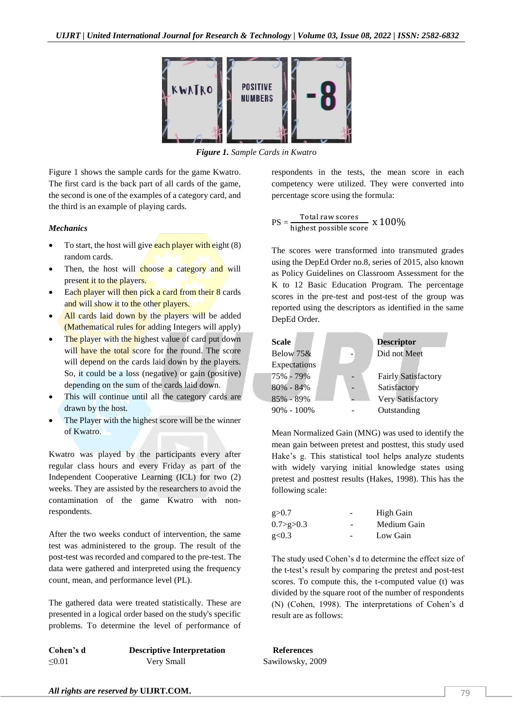

*Figure 1. Sample Cards in Kwatro*

Figure 1 shows the sample cards for the game Kwatro. The first card is the back part of all cards of the game, the second is one of the examples of a category card, and the third is an example of playing cards.

#### *Mechanics*

- To start, the host will give each player with eight  $(8)$ random cards.
- Then, the host will choose a category and will present it to the players.
- Each player will then pick a card from their 8 cards and will show it to the other players.
- All cards laid down by the players will be added (Mathematical rules for adding Integers will apply)
- The player with the highest value of card put down will have the total score for the round. The score will depend on the cards laid down by the players. So, it could be a loss (negative) or gain (positive) depending on the sum of the cards laid down.
- This will continue until all the category cards are drawn by the host.
- The Player with the highest score will be the winner of Kwatro.

Kwatro was played by the participants every after regular class hours and every Friday as part of the Independent Cooperative Learning (ICL) for two (2) weeks. They are assisted by the researchers to avoid the contamination of the game Kwatro with nonrespondents.

After the two weeks conduct of intervention, the same test was administered to the group. The result of the post-test was recorded and compared to the pre-test. The data were gathered and interpreted using the frequency count, mean, and performance level (PL).

The gathered data were treated statistically. These are presented in a logical order based on the study's specific problems. To determine the level of performance of

| Cohen's d | <b>Descriptive Interpretation</b> |
|-----------|-----------------------------------|
| ≤ $0.01$  | Very Small                        |

respondents in the tests, the mean score in each competency were utilized. They were converted into percentage score using the formula:

$$
PS = \frac{\text{Total raw scores}}{\text{highest possible score}} \times 100\%
$$

The scores were transformed into transmuted grades using the DepEd Order no.8, series of 2015, also known as Policy Guidelines on Classroom Assessment for the K to 12 Basic Education Program. The percentage scores in the pre-test and post-test of the group was reported using the descriptors as identified in the same DepEd Order.



Mean Normalized Gain (MNG) was used to identify the mean gain between pretest and posttest, this study used Hake's g. This statistical tool helps analyze students with widely varying initial knowledge states using pretest and posttest results (Hakes, 1998). This has the following scale:

| g > 0.7       | $\overline{a}$ | High Gain   |  |  |
|---------------|----------------|-------------|--|--|
| 0.7 > g > 0.3 | -              | Medium Gain |  |  |
| g<0.3         | -              | Low Gain    |  |  |

The study used Cohen's d to determine the effect size of the t-test's result by comparing the pretest and post-test scores. To compute this, the t-computed value (t) was divided by the square root of the number of respondents (N) (Cohen, 1998). The interpretations of Cohen's d result are as follows:

 $Ref$ **erences** Sawilowsky, 2009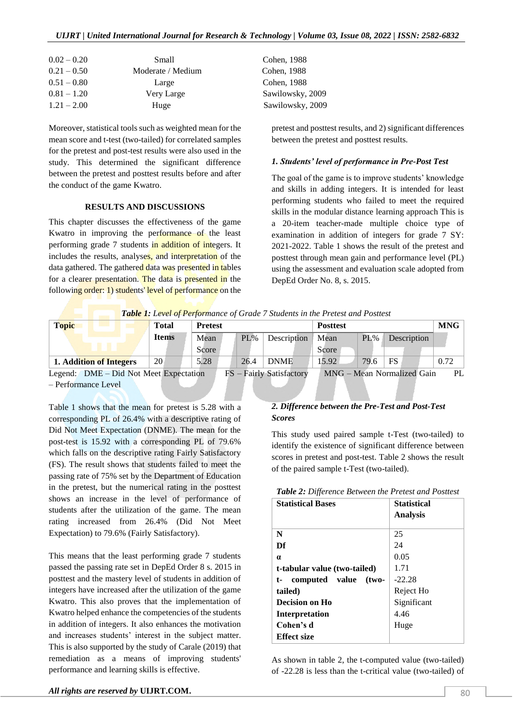| $0.02 - 0.20$ | Small             | Cohen, 1988      |
|---------------|-------------------|------------------|
| $0.21 - 0.50$ | Moderate / Medium | Cohen, 1988      |
| $0.51 - 0.80$ | Large             | Cohen, 1988      |
| $0.81 - 1.20$ | Very Large        | Sawilowsky, 2009 |
| $1.21 - 2.00$ | Huge              | Sawilowsky, 2009 |

Moreover, statistical tools such as weighted mean for the mean score and t-test (two-tailed) for correlated samples for the pretest and post-test results were also used in the study. This determined the significant difference between the pretest and posttest results before and after the conduct of the game Kwatro.

#### **RESULTS AND DISCUSSIONS**

This chapter discusses the effectiveness of the game Kwatro in improving the performance of the least performing grade 7 students in addition of integers. It includes the results, analyses, and interpretation of the data gathered. The gathered data was presented in tables for a clearer presentation. The data is presented in the following order: 1) students' level of performance on the

pretest and posttest results, and 2) significant differences between the pretest and posttest results.

## *1. Students' level of performance in Pre-Post Test*

The goal of the game is to improve students' knowledge and skills in adding integers. It is intended for least performing students who failed to meet the required skills in the modular distance learning approach This is a 20-item teacher-made multiple choice type of examination in addition of integers for grade 7 SY: 2021-2022. Table 1 shows the result of the pretest and posttest through mean gain and performance level (PL) using the assessment and evaluation scale adopted from DepEd Order No. 8, s. 2015.

| <b>Table 1:</b> Level of Performance of Grade 7 Students in the Pretest and Posttest |              |                |        |             |                 |               |             |       |
|--------------------------------------------------------------------------------------|--------------|----------------|--------|-------------|-----------------|---------------|-------------|-------|
| <b>Topic</b>                                                                         | Total        | <b>Pretest</b> |        |             | <b>Posttest</b> | <b>MNG</b>    |             |       |
|                                                                                      | <b>Items</b> | Mean           | $PL\%$ | Description | Mean            | $PL\%$        | Description |       |
|                                                                                      |              | Score          |        |             | Score           |               |             |       |
| 1. Addition of Integers                                                              | 20           | 5.28           | 26.4   | <b>DNME</b> | 15.92           | 79.6          | <b>FS</b>   | 0.72  |
|                                                                                      |              |                |        |             | -----           | $\sim$ $\sim$ | .           | $- -$ |

Legend: DME – Did Not Meet Expectation FS – Fairly Satisfactory MNG – Mean Normalized Gain PL – Performance Level

Table 1 shows that the mean for pretest is 5.28 with a corresponding PL of 26.4% with a descriptive rating of Did Not Meet Expectation (DNME). The mean for the post-test is 15.92 with a corresponding PL of 79.6% which falls on the descriptive rating Fairly Satisfactory (FS). The result shows that students failed to meet the passing rate of 75% set by the Department of Education in the pretest, but the numerical rating in the posttest shows an increase in the level of performance of students after the utilization of the game. The mean rating increased from 26.4% (Did Not Meet Expectation) to 79.6% (Fairly Satisfactory).

This means that the least performing grade 7 students passed the passing rate set in DepEd Order 8 s. 2015 in posttest and the mastery level of students in addition of integers have increased after the utilization of the game Kwatro. This also proves that the implementation of Kwatro helped enhance the competencies of the students in addition of integers. It also enhances the motivation and increases students' interest in the subject matter. This is also supported by the study of Carale (2019) that remediation as a means of improving students' performance and learning skills is effective.

### *2. Difference between the Pre-Test and Post-Test Scores*

This study used paired sample t-Test (two-tailed) to identify the existence of significant difference between scores in pretest and post-test. Table 2 shows the result of the paired sample t-Test (two-tailed).

| Table 2: Difference Between the Pretest and Posttest |  |  |  |  |  |
|------------------------------------------------------|--|--|--|--|--|
|------------------------------------------------------|--|--|--|--|--|

| $\ldots$ . $\ldots$ . $\ldots$ . $\ldots$ . $\ldots$ . $\ldots$ . $\ldots$ . $\ldots$ .<br><b>Statistical Bases</b> | <b>Statistical</b><br><b>Analysis</b> |
|---------------------------------------------------------------------------------------------------------------------|---------------------------------------|
| N                                                                                                                   | 25                                    |
| Df                                                                                                                  | 24                                    |
| $\alpha$                                                                                                            | 0.05                                  |
| t-tabular value (two-tailed)                                                                                        | 1.71                                  |
| computed value<br>$(two-$<br>t-                                                                                     | $-22.28$                              |
| tailed)                                                                                                             | Reject Ho                             |
| Decision on Ho                                                                                                      | Significant                           |
| <b>Interpretation</b>                                                                                               | 4.46                                  |
| Cohen's d                                                                                                           | Huge                                  |
| <b>Effect size</b>                                                                                                  |                                       |

As shown in table 2, the t-computed value (two-tailed) of -22.28 is less than the t-critical value (two-tailed) of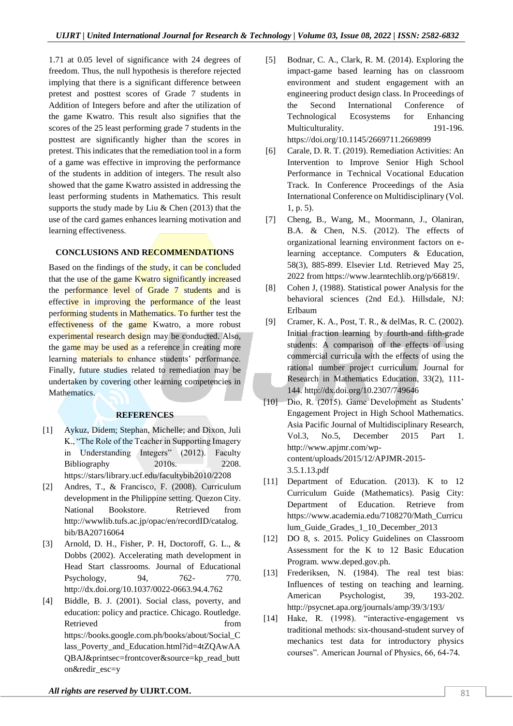1.71 at 0.05 level of significance with 24 degrees of freedom. Thus, the null hypothesis is therefore rejected implying that there is a significant difference between pretest and posttest scores of Grade 7 students in Addition of Integers before and after the utilization of the game Kwatro. This result also signifies that the scores of the 25 least performing grade 7 students in the posttest are significantly higher than the scores in pretest. This indicates that the remediation tool in a form of a game was effective in improving the performance of the students in addition of integers. The result also showed that the game Kwatro assisted in addressing the least performing students in Mathematics. This result supports the study made by Liu & Chen (2013) that the use of the card games enhances learning motivation and learning effectiveness.

# **CONCLUSIONS AND RECOMMENDATIONS**

Based on the findings of the study, it can be concluded that the use of the game Kwatro significantly increased the performance level of Grade 7 students and is effective in improving the performance of the least performing students in Mathematics. To further test the effectiveness of the game Kwatro, a more robust experimental research design may be conducted. Also, the game may be used as a reference in creating more learning **materials to enhance students** performance. Finally, future studies related to remediation may be undertaken by covering other learning competencies in Mathematics.

## **REFERENCES**

- [1] Aykuz, Didem; Stephan, Michelle; and Dixon, Juli K., "The Role of the Teacher in Supporting Imagery in Understanding Integers" (2012). Faculty Bibliography 2010s. 2208. https://stars/library.ucf.edu/facultybib2010/2208
- [2] Andres, T., & Francisco, F. (2008). Curriculum development in the Philippine setting. Quezon City. National Bookstore. Retrieved from http://wwwlib.tufs.ac.jp/opac/en/recordID/catalog. bib/BA20716064
- [3] Arnold, D. H., Fisher, P. H, Doctoroff, G. L., & Dobbs (2002). Accelerating math development in Head Start classrooms. Journal of Educational Psychology, 94, 762- 770. http://dx.doi.org/10.1037/0022-0663.94.4.762
- [4] Biddle, B. J. (2001). Social class, poverty, and education: policy and practice. Chicago. Routledge. Retrieved from the state of the state of the state of the state of the state of the state of the state of the state of the state of the state of the state of the state of the state of the state of the state of the state of https://books.google.com.ph/books/about/Social\_C lass\_Poverty\_and\_Education.html?id=4tZQAwAA QBAJ&printsec=frontcover&source=kp\_read\_butt on&redir\_esc=y
- [5] Bodnar, C. A., Clark, R. M. (2014). Exploring the impact-game based learning has on classroom environment and student engagement with an engineering product design class. In Proceedings of the Second International Conference of Technological Ecosystems for Enhancing Multiculturality. 191-196. https://doi.org/10.1145/2669711.2669899
- [6] Carale, D. R. T. (2019). Remediation Activities: An Intervention to Improve Senior High School Performance in Technical Vocational Education Track. In Conference Proceedings of the Asia International Conference on Multidisciplinary (Vol. 1, p. 5).
- [7] Cheng, B., Wang, M., Moormann, J., Olaniran, B.A. & Chen, N.S. (2012). The effects of organizational learning environment factors on elearning acceptance. Computers & Education, 58(3), 885-899. Elsevier Ltd. Retrieved May 25, 2022 from https://www.learntechlib.org/p/66819/.
- [8] Cohen J, (1988). Statistical power Analysis for the behavioral sciences (2nd Ed.). Hillsdale, NJ: Erlbaum
- [9] Cramer, K. A., Post, T. R., & delMas, R. C. (2002). Initial fraction learning by fourth-and fifth-grade students: A comparison of the effects of using commercial curricula with the effects of using the rational number project curriculum. Journal for Research in Mathematics Education, 33(2), 111- 144. http://dx.doi.org/10.2307/749646
- [10] Dio, R. (2015). Game Development as Students' Engagement Project in High School Mathematics. Asia Pacific Journal of Multidisciplinary Research, Vol.3, No.5, December 2015 Part 1. http://www.apjmr.com/wpcontent/uploads/2015/12/APJMR-2015- 3.5.1.13.pdf
- [11] Department of Education. (2013). K to 12 Curriculum Guide (Mathematics). Pasig City: Department of Education. Retrieve from https://www.academia.edu/7108270/Math\_Curricu lum\_Guide\_Grades\_1\_10\_December\_2013
- [12] DO 8, s. 2015. Policy Guidelines on Classroom Assessment for the K to 12 Basic Education Program. www.deped.gov.ph.
- [13] Frederiksen, N. (1984). The real test bias: Influences of testing on teaching and learning. American Psychologist, 39, 193-202. http://psycnet.apa.org/journals/amp/39/3/193/
- [14] Hake, R. (1998). "interactive-engagement vs traditional methods: six-thousand-student survey of mechanics test data for introductory physics courses". American Journal of Physics, 66, 64-74.